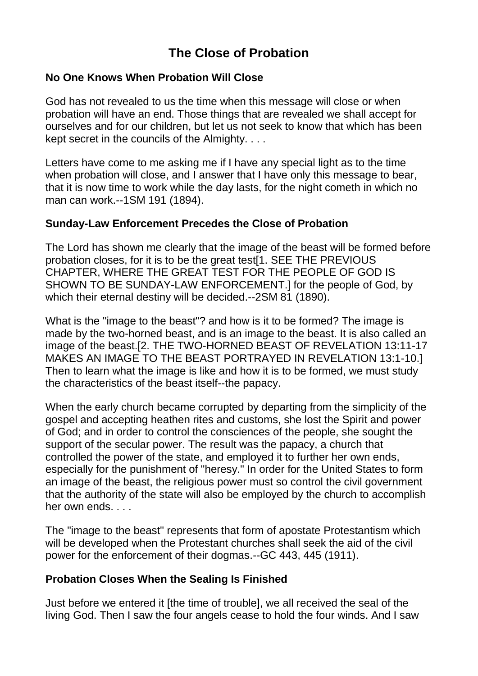# **The Close of Probation**

#### **No One Knows When Probation Will Close**

God has not revealed to us the time when this message will close or when probation will have an end. Those things that are revealed we shall accept for ourselves and for our children, but let us not seek to know that which has been kept secret in the councils of the Almighty. . . .

Letters have come to me asking me if I have any special light as to the time when probation will close, and I answer that I have only this message to bear, that it is now time to work while the day lasts, for the night cometh in which no man can work.--1SM 191 (1894).

#### **Sunday-Law Enforcement Precedes the Close of Probation**

The Lord has shown me clearly that the image of the beast will be formed before probation closes, for it is to be the great test[1. SEE THE PREVIOUS CHAPTER, WHERE THE GREAT TEST FOR THE PEOPLE OF GOD IS SHOWN TO BE SUNDAY-LAW ENFORCEMENT.] for the people of God, by which their eternal destiny will be decided.--2SM 81 (1890).

What is the "image to the beast"? and how is it to be formed? The image is made by the two-horned beast, and is an image to the beast. It is also called an image of the beast.[2. THE TWO-HORNED BEAST OF REVELATION 13:11-17 MAKES AN IMAGE TO THE BEAST PORTRAYED IN REVELATION 13:1-10.] Then to learn what the image is like and how it is to be formed, we must study the characteristics of the beast itself--the papacy.

When the early church became corrupted by departing from the simplicity of the gospel and accepting heathen rites and customs, she lost the Spirit and power of God; and in order to control the consciences of the people, she sought the support of the secular power. The result was the papacy, a church that controlled the power of the state, and employed it to further her own ends, especially for the punishment of "heresy." In order for the United States to form an image of the beast, the religious power must so control the civil government that the authority of the state will also be employed by the church to accomplish her own ends. . . .

The "image to the beast" represents that form of apostate Protestantism which will be developed when the Protestant churches shall seek the aid of the civil power for the enforcement of their dogmas.--GC 443, 445 (1911).

#### **Probation Closes When the Sealing Is Finished**

Just before we entered it [the time of trouble], we all received the seal of the living God. Then I saw the four angels cease to hold the four winds. And I saw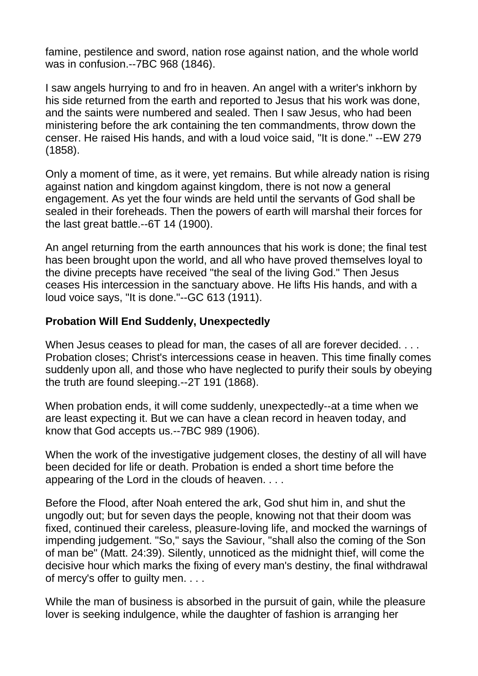famine, pestilence and sword, nation rose against nation, and the whole world was in confusion.--7BC 968 (1846).

I saw angels hurrying to and fro in heaven. An angel with a writer's inkhorn by his side returned from the earth and reported to Jesus that his work was done, and the saints were numbered and sealed. Then I saw Jesus, who had been ministering before the ark containing the ten commandments, throw down the censer. He raised His hands, and with a loud voice said, "It is done." --EW 279 (1858).

Only a moment of time, as it were, yet remains. But while already nation is rising against nation and kingdom against kingdom, there is not now a general engagement. As yet the four winds are held until the servants of God shall be sealed in their foreheads. Then the powers of earth will marshal their forces for the last great battle.--6T 14 (1900).

An angel returning from the earth announces that his work is done; the final test has been brought upon the world, and all who have proved themselves loyal to the divine precepts have received "the seal of the living God." Then Jesus ceases His intercession in the sanctuary above. He lifts His hands, and with a loud voice says, "It is done."--GC 613 (1911).

#### **Probation Will End Suddenly, Unexpectedly**

When Jesus ceases to plead for man, the cases of all are forever decided. . . . Probation closes; Christ's intercessions cease in heaven. This time finally comes suddenly upon all, and those who have neglected to purify their souls by obeying the truth are found sleeping.--2T 191 (1868).

When probation ends, it will come suddenly, unexpectedly--at a time when we are least expecting it. But we can have a clean record in heaven today, and know that God accepts us.--7BC 989 (1906).

When the work of the investigative judgement closes, the destiny of all will have been decided for life or death. Probation is ended a short time before the appearing of the Lord in the clouds of heaven. . . .

Before the Flood, after Noah entered the ark, God shut him in, and shut the ungodly out; but for seven days the people, knowing not that their doom was fixed, continued their careless, pleasure-loving life, and mocked the warnings of impending judgement. "So," says the Saviour, "shall also the coming of the Son of man be" (Matt. 24:39). Silently, unnoticed as the midnight thief, will come the decisive hour which marks the fixing of every man's destiny, the final withdrawal of mercy's offer to guilty men. . . .

While the man of business is absorbed in the pursuit of gain, while the pleasure lover is seeking indulgence, while the daughter of fashion is arranging her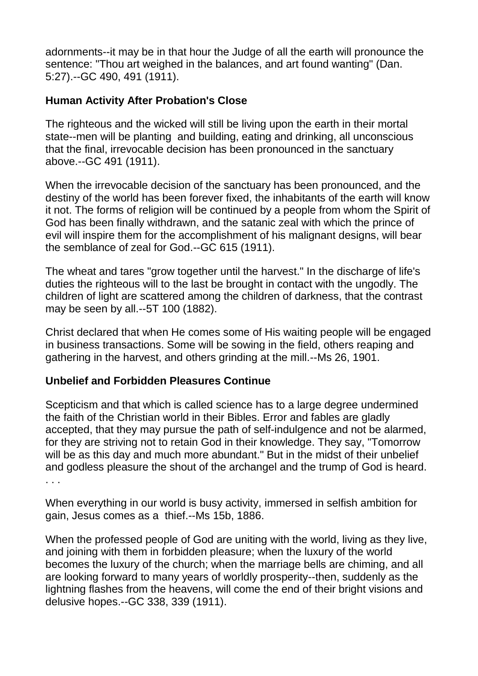adornments--it may be in that hour the Judge of all the earth will pronounce the sentence: "Thou art weighed in the balances, and art found wanting" (Dan. 5:27).--GC 490, 491 (1911).

# **Human Activity After Probation's Close**

The righteous and the wicked will still be living upon the earth in their mortal state--men will be planting and building, eating and drinking, all unconscious that the final, irrevocable decision has been pronounced in the sanctuary above.--GC 491 (1911).

When the irrevocable decision of the sanctuary has been pronounced, and the destiny of the world has been forever fixed, the inhabitants of the earth will know it not. The forms of religion will be continued by a people from whom the Spirit of God has been finally withdrawn, and the satanic zeal with which the prince of evil will inspire them for the accomplishment of his malignant designs, will bear the semblance of zeal for God.--GC 615 (1911).

The wheat and tares "grow together until the harvest." In the discharge of life's duties the righteous will to the last be brought in contact with the ungodly. The children of light are scattered among the children of darkness, that the contrast may be seen by all.--5T 100 (1882).

Christ declared that when He comes some of His waiting people will be engaged in business transactions. Some will be sowing in the field, others reaping and gathering in the harvest, and others grinding at the mill.--Ms 26, 1901.

#### **Unbelief and Forbidden Pleasures Continue**

Scepticism and that which is called science has to a large degree undermined the faith of the Christian world in their Bibles. Error and fables are gladly accepted, that they may pursue the path of self-indulgence and not be alarmed, for they are striving not to retain God in their knowledge. They say, "Tomorrow will be as this day and much more abundant." But in the midst of their unbelief and godless pleasure the shout of the archangel and the trump of God is heard. . . .

When everything in our world is busy activity, immersed in selfish ambition for gain, Jesus comes as a thief.--Ms 15b, 1886.

When the professed people of God are uniting with the world, living as they live, and joining with them in forbidden pleasure; when the luxury of the world becomes the luxury of the church; when the marriage bells are chiming, and all are looking forward to many years of worldly prosperity--then, suddenly as the lightning flashes from the heavens, will come the end of their bright visions and delusive hopes.--GC 338, 339 (1911).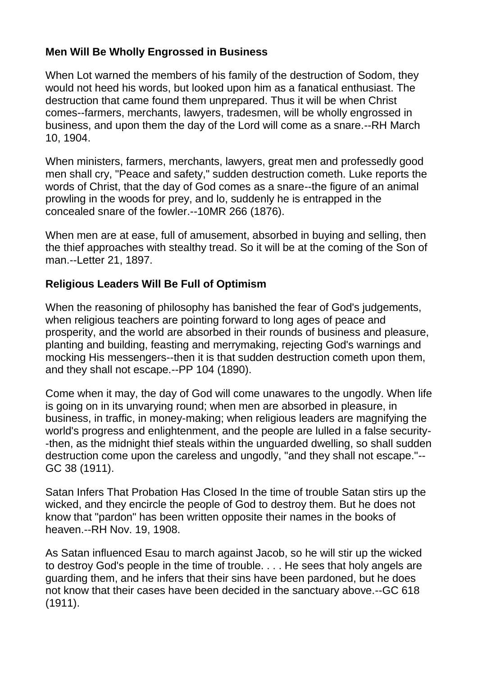# **Men Will Be Wholly Engrossed in Business**

When Lot warned the members of his family of the destruction of Sodom, they would not heed his words, but looked upon him as a fanatical enthusiast. The destruction that came found them unprepared. Thus it will be when Christ comes--farmers, merchants, lawyers, tradesmen, will be wholly engrossed in business, and upon them the day of the Lord will come as a snare.--RH March 10, 1904.

When ministers, farmers, merchants, lawyers, great men and professedly good men shall cry, "Peace and safety," sudden destruction cometh. Luke reports the words of Christ, that the day of God comes as a snare--the figure of an animal prowling in the woods for prey, and lo, suddenly he is entrapped in the concealed snare of the fowler.--10MR 266 (1876).

When men are at ease, full of amusement, absorbed in buying and selling, then the thief approaches with stealthy tread. So it will be at the coming of the Son of man.--Letter 21, 1897.

# **Religious Leaders Will Be Full of Optimism**

When the reasoning of philosophy has banished the fear of God's judgements, when religious teachers are pointing forward to long ages of peace and prosperity, and the world are absorbed in their rounds of business and pleasure, planting and building, feasting and merrymaking, rejecting God's warnings and mocking His messengers--then it is that sudden destruction cometh upon them, and they shall not escape.--PP 104 (1890).

Come when it may, the day of God will come unawares to the ungodly. When life is going on in its unvarying round; when men are absorbed in pleasure, in business, in traffic, in money-making; when religious leaders are magnifying the world's progress and enlightenment, and the people are lulled in a false security- -then, as the midnight thief steals within the unguarded dwelling, so shall sudden destruction come upon the careless and ungodly, "and they shall not escape."-- GC 38 (1911).

Satan Infers That Probation Has Closed In the time of trouble Satan stirs up the wicked, and they encircle the people of God to destroy them. But he does not know that "pardon" has been written opposite their names in the books of heaven.--RH Nov. 19, 1908.

As Satan influenced Esau to march against Jacob, so he will stir up the wicked to destroy God's people in the time of trouble. . . . He sees that holy angels are guarding them, and he infers that their sins have been pardoned, but he does not know that their cases have been decided in the sanctuary above.--GC 618 (1911).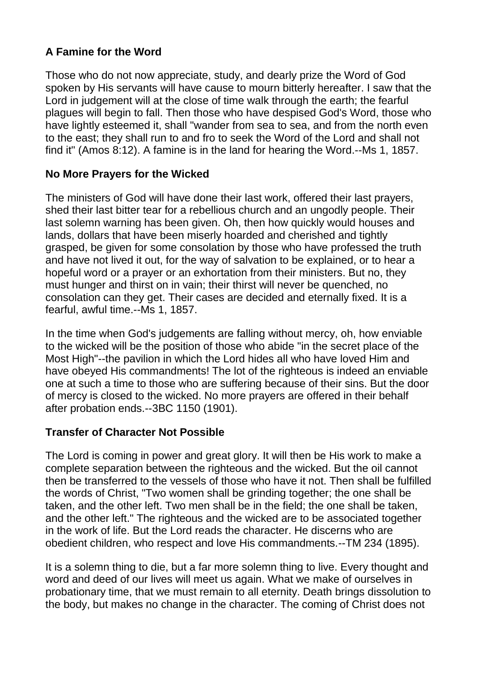# **A Famine for the Word**

Those who do not now appreciate, study, and dearly prize the Word of God spoken by His servants will have cause to mourn bitterly hereafter. I saw that the Lord in judgement will at the close of time walk through the earth; the fearful plagues will begin to fall. Then those who have despised God's Word, those who have lightly esteemed it, shall "wander from sea to sea, and from the north even to the east; they shall run to and fro to seek the Word of the Lord and shall not find it" (Amos 8:12). A famine is in the land for hearing the Word.--Ms 1, 1857.

#### **No More Prayers for the Wicked**

The ministers of God will have done their last work, offered their last prayers, shed their last bitter tear for a rebellious church and an ungodly people. Their last solemn warning has been given. Oh, then how quickly would houses and lands, dollars that have been miserly hoarded and cherished and tightly grasped, be given for some consolation by those who have professed the truth and have not lived it out, for the way of salvation to be explained, or to hear a hopeful word or a prayer or an exhortation from their ministers. But no, they must hunger and thirst on in vain; their thirst will never be quenched, no consolation can they get. Their cases are decided and eternally fixed. It is a fearful, awful time.--Ms 1, 1857.

In the time when God's judgements are falling without mercy, oh, how enviable to the wicked will be the position of those who abide "in the secret place of the Most High"--the pavilion in which the Lord hides all who have loved Him and have obeyed His commandments! The lot of the righteous is indeed an enviable one at such a time to those who are suffering because of their sins. But the door of mercy is closed to the wicked. No more prayers are offered in their behalf after probation ends.--3BC 1150 (1901).

#### **Transfer of Character Not Possible**

The Lord is coming in power and great glory. It will then be His work to make a complete separation between the righteous and the wicked. But the oil cannot then be transferred to the vessels of those who have it not. Then shall be fulfilled the words of Christ, "Two women shall be grinding together; the one shall be taken, and the other left. Two men shall be in the field; the one shall be taken, and the other left." The righteous and the wicked are to be associated together in the work of life. But the Lord reads the character. He discerns who are obedient children, who respect and love His commandments.--TM 234 (1895).

It is a solemn thing to die, but a far more solemn thing to live. Every thought and word and deed of our lives will meet us again. What we make of ourselves in probationary time, that we must remain to all eternity. Death brings dissolution to the body, but makes no change in the character. The coming of Christ does not